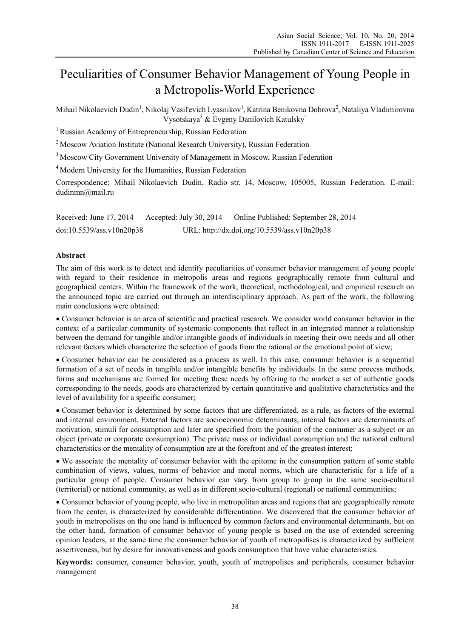# Peculiarities of Consumer Behavior Management of Young People in a Metropolis-World Experience

Mihail Nikolaevich Dudin<sup>1</sup>, Nikolaj Vasil'evich Lyasnikov<sup>1</sup>, Katrina Benikovna Dobrova<sup>2</sup>, Nataliya Vladimirovna Vysotskaya<sup>3</sup> & Evgeny Danilovich Katulsky<sup>4</sup>

1 Russian Academy of Entrepreneurship, Russian Federation

<sup>2</sup> Moscow Aviation Institute (National Research University), Russian Federation

<sup>3</sup> Moscow City Government University of Management in Moscow, Russian Federation

4 Modern University for the Humanities, Russian Federation

Correspondence: Mihail Nikolaevich Dudin, Radio str. 14, Moscow, 105005, Russian Federation. E-mail: dudinmn@mail.ru

Received: June 17, 2014 Accepted: July 30, 2014 Online Published: September 28, 2014 doi:10.5539/ass.v10n20p38 URL: http://dx.doi.org/10.5539/ass.v10n20p38

# **Abstract**

The aim of this work is to detect and identify peculiarities of consumer behavior management of young people with regard to their residence in metropolis areas and regions geographically remote from cultural and geographical centers. Within the framework of the work, theoretical, methodological, and empirical research on the announced topic are carried out through an interdisciplinary approach. As part of the work, the following main conclusions were obtained:

 Consumer behavior is an area of scientific and practical research. We consider world consumer behavior in the context of a particular community of systematic components that reflect in an integrated manner a relationship between the demand for tangible and/or intangible goods of individuals in meeting their own needs and all other relevant factors which characterize the selection of goods from the rational or the emotional point of view;

 Consumer behavior can be considered as a process as well. In this case, consumer behavior is a sequential formation of a set of needs in tangible and/or intangible benefits by individuals. In the same process methods, forms and mechanisms are formed for meeting these needs by offering to the market a set of authentic goods corresponding to the needs, goods are characterized by certain quantitative and qualitative characteristics and the level of availability for a specific consumer;

 Consumer behavior is determined by some factors that are differentiated, as a rule, as factors of the external and internal environment. External factors are socioeconomic determinants; internal factors are determinants of motivation, stimuli for consumption and later are specified from the position of the consumer as a subject or an object (private or corporate consumption). The private mass or individual consumption and the national cultural characteristics or the mentality of consumption are at the forefront and of the greatest interest;

 We associate the mentality of consumer behavior with the epitome in the consumption pattern of some stable combination of views, values, norms of behavior and moral norms, which are characteristic for a life of a particular group of people. Consumer behavior can vary from group to group in the same socio-cultural (territorial) or national community, as well as in different socio-cultural (regional) or national communities;

 Consumer behavior of young people, who live in metropolitan areas and regions that are geographically remote from the center, is characterized by considerable differentiation. We discovered that the consumer behavior of youth in metropolises on the one hand is influenced by common factors and environmental determinants, but on the other hand, formation of consumer behavior of young people is based on the use of extended screening opinion leaders, at the same time the consumer behavior of youth of metropolises is characterized by sufficient assertiveness, but by desire for innovativeness and goods consumption that have value characteristics.

**Keywords:** consumer, consumer behavior, youth, youth of metropolises and peripherals, consumer behavior management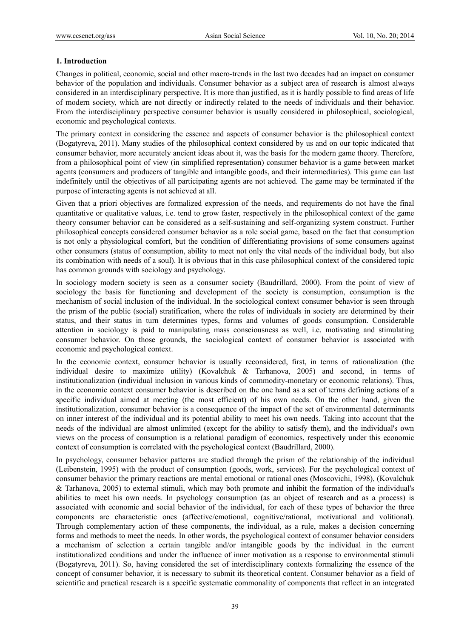# **1. Introduction**

Changes in political, economic, social and other macro-trends in the last two decades had an impact on consumer behavior of the population and individuals. Consumer behavior as a subject area of research is almost always considered in an interdisciplinary perspective. It is more than justified, as it is hardly possible to find areas of life of modern society, which are not directly or indirectly related to the needs of individuals and their behavior. From the interdisciplinary perspective consumer behavior is usually considered in philosophical, sociological, economic and psychological contexts.

The primary context in considering the essence and aspects of consumer behavior is the philosophical context (Bogatyreva, 2011). Many studies of the philosophical context considered by us and on our topic indicated that consumer behavior, more accurately ancient ideas about it, was the basis for the modern game theory. Therefore, from a philosophical point of view (in simplified representation) consumer behavior is a game between market agents (consumers and producers of tangible and intangible goods, and their intermediaries). This game can last indefinitely until the objectives of all participating agents are not achieved. The game may be terminated if the purpose of interacting agents is not achieved at all.

Given that a priori objectives are formalized expression of the needs, and requirements do not have the final quantitative or qualitative values, i.e. tend to grow faster, respectively in the philosophical context of the game theory consumer behavior can be considered as a self-sustaining and self-organizing system construct. Further philosophical concepts considered consumer behavior as a role social game, based on the fact that consumption is not only a physiological comfort, but the condition of differentiating provisions of some consumers against other consumers (status of consumption, ability to meet not only the vital needs of the individual body, but also its combination with needs of a soul). It is obvious that in this case philosophical context of the considered topic has common grounds with sociology and psychology.

In sociology modern society is seen as a consumer society (Baudrillard, 2000). From the point of view of sociology the basis for functioning and development of the society is consumption, consumption is the mechanism of social inclusion of the individual. In the sociological context consumer behavior is seen through the prism of the public (social) stratification, where the roles of individuals in society are determined by their status, and their status in turn determines types, forms and volumes of goods consumption. Considerable attention in sociology is paid to manipulating mass consciousness as well, i.e. motivating and stimulating consumer behavior. On those grounds, the sociological context of consumer behavior is associated with economic and psychological context.

In the economic context, consumer behavior is usually reconsidered, first, in terms of rationalization (the individual desire to maximize utility) (Kovalchuk & Tarhanova, 2005) and second, in terms of institutionalization (individual inclusion in various kinds of commodity-monetary or economic relations). Thus, in the economic context consumer behavior is described on the one hand as a set of terms defining actions of a specific individual aimed at meeting (the most efficient) of his own needs. On the other hand, given the institutionalization, consumer behavior is a consequence of the impact of the set of environmental determinants on inner interest of the individual and its potential ability to meet his own needs. Taking into account that the needs of the individual are almost unlimited (except for the ability to satisfy them), and the individual's own views on the process of consumption is a relational paradigm of economics, respectively under this economic context of consumption is correlated with the psychological context (Baudrillard, 2000).

In psychology, consumer behavior patterns are studied through the prism of the relationship of the individual (Leibenstein, 1995) with the product of consumption (goods, work, services). For the psychological context of consumer behavior the primary reactions are mental emotional or rational ones (Moscovichi, 1998), (Kovalchuk & Tarhanova, 2005) to external stimuli, which may both promote and inhibit the formation of the individual's abilities to meet his own needs. In psychology consumption (as an object of research and as a process) is associated with economic and social behavior of the individual, for each of these types of behavior the three components are characteristic ones (affective/emotional, cognitive/rational, motivational and volitional). Through complementary action of these components, the individual, as a rule, makes a decision concerning forms and methods to meet the needs. In other words, the psychological context of consumer behavior considers a mechanism of selection a certain tangible and/or intangible goods by the individual in the current institutionalized conditions and under the influence of inner motivation as a response to environmental stimuli (Bogatyreva, 2011). So, having considered the set of interdisciplinary contexts formalizing the essence of the concept of consumer behavior, it is necessary to submit its theoretical content. Consumer behavior as a field of scientific and practical research is a specific systematic commonality of components that reflect in an integrated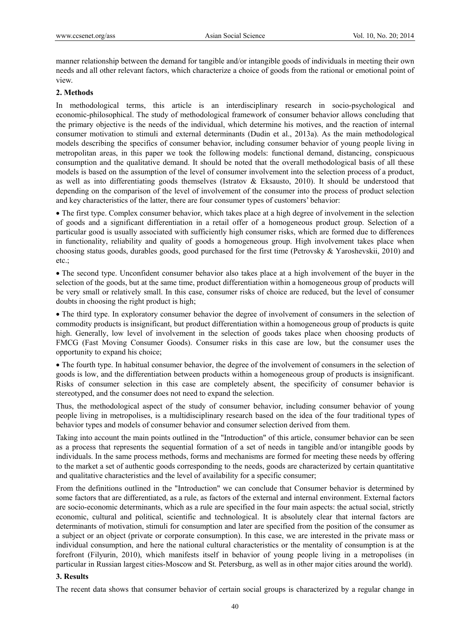manner relationship between the demand for tangible and/or intangible goods of individuals in meeting their own needs and all other relevant factors, which characterize a choice of goods from the rational or emotional point of view.

# **2. Methods**

In methodological terms, this article is an interdisciplinary research in socio-psychological and economic-philosophical. The study of methodological framework of consumer behavior allows concluding that the primary objective is the needs of the individual, which determine his motives, and the reaction of internal consumer motivation to stimuli and external determinants (Dudin et al., 2013a). As the main methodological models describing the specifics of consumer behavior, including consumer behavior of young people living in metropolitan areas, in this paper we took the following models: functional demand, distancing, conspicuous consumption and the qualitative demand. It should be noted that the overall methodological basis of all these models is based on the assumption of the level of consumer involvement into the selection process of a product, as well as into differentiating goods themselves (Istratov & Eksausto, 2010). It should be understood that depending on the comparison of the level of involvement of the consumer into the process of product selection and key characteristics of the latter, there are four consumer types of customers' behavior:

 The first type. Complex consumer behavior, which takes place at a high degree of involvement in the selection of goods and a significant differentiation in a retail offer of a homogeneous product group. Selection of a particular good is usually associated with sufficiently high consumer risks, which are formed due to differences in functionality, reliability and quality of goods a homogeneous group. High involvement takes place when choosing status goods, durables goods, good purchased for the first time (Petrovsky & Yaroshevskii, 2010) and etc.;

 The second type. Unconfident consumer behavior also takes place at a high involvement of the buyer in the selection of the goods, but at the same time, product differentiation within a homogeneous group of products will be very small or relatively small. In this case, consumer risks of choice are reduced, but the level of consumer doubts in choosing the right product is high;

 The third type. In exploratory consumer behavior the degree of involvement of consumers in the selection of commodity products is insignificant, but product differentiation within a homogeneous group of products is quite high. Generally, low level of involvement in the selection of goods takes place when choosing products of FMCG (Fast Moving Consumer Goods). Consumer risks in this case are low, but the consumer uses the opportunity to expand his choice;

 The fourth type. In habitual consumer behavior, the degree of the involvement of consumers in the selection of goods is low, and the differentiation between products within a homogeneous group of products is insignificant. Risks of consumer selection in this case are completely absent, the specificity of consumer behavior is stereotyped, and the consumer does not need to expand the selection.

Thus, the methodological aspect of the study of consumer behavior, including consumer behavior of young people living in metropolises, is a multidisciplinary research based on the idea of the four traditional types of behavior types and models of consumer behavior and consumer selection derived from them.

Taking into account the main points outlined in the "Introduction" of this article, consumer behavior can be seen as a process that represents the sequential formation of a set of needs in tangible and/or intangible goods by individuals. In the same process methods, forms and mechanisms are formed for meeting these needs by offering to the market a set of authentic goods corresponding to the needs, goods are characterized by certain quantitative and qualitative characteristics and the level of availability for a specific consumer;

From the definitions outlined in the "Introduction" we can conclude that Consumer behavior is determined by some factors that are differentiated, as a rule, as factors of the external and internal environment. External factors are socio-economic determinants, which as a rule are specified in the four main aspects: the actual social, strictly economic, cultural and political, scientific and technological. It is absolutely clear that internal factors are determinants of motivation, stimuli for consumption and later are specified from the position of the consumer as a subject or an object (private or corporate consumption). In this case, we are interested in the private mass or individual consumption, and here the national cultural characteristics or the mentality of consumption is at the forefront (Filyurin, 2010), which manifests itself in behavior of young people living in a metropolises (in particular in Russian largest cities-Moscow and St. Petersburg, as well as in other major cities around the world).

#### **3. Results**

The recent data shows that consumer behavior of certain social groups is characterized by a regular change in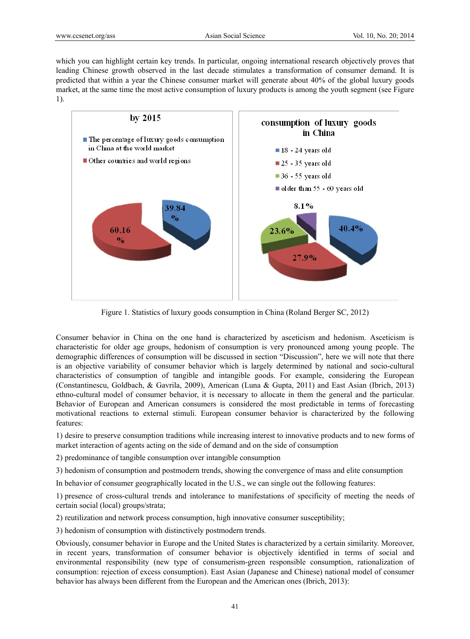which you can highlight certain key trends. In particular, ongoing international research objectively proves that leading Chinese growth observed in the last decade stimulates a transformation of consumer demand. It is predicted that within a year the Chinese consumer market will generate about 40% of the global luxury goods market, at the same time the most active consumption of luxury products is among the youth segment (see Figure 1).



Figure 1. Statistics of luxury goods consumption in China (Roland Berger SC, 2012)

Consumer behavior in China on the one hand is characterized by asceticism and hedonism. Asceticism is characteristic for older age groups, hedonism of consumption is very pronounced among young people. The demographic differences of consumption will be discussed in section "Discussion", here we will note that there is an objective variability of consumer behavior which is largely determined by national and socio-cultural characteristics of consumption of tangible and intangible goods. For example, considering the European (Constantinescu, Goldbach, & Gavrila, 2009), American (Luna & Gupta, 2011) and East Asian (Ibrich, 2013) ethno-cultural model of consumer behavior, it is necessary to allocate in them the general and the particular. Behavior of European and American consumers is considered the most predictable in terms of forecasting motivational reactions to external stimuli. European consumer behavior is characterized by the following features:

1) desire to preserve consumption traditions while increasing interest to innovative products and to new forms of market interaction of agents acting on the side of demand and on the side of consumption

2) predominance of tangible consumption over intangible consumption

3) hedonism of consumption and postmodern trends, showing the convergence of mass and elite consumption

In behavior of consumer geographically located in the U.S., we can single out the following features:

1) presence of cross-cultural trends and intolerance to manifestations of specificity of meeting the needs of certain social (local) groups/strata;

2) reutilization and network process consumption, high innovative consumer susceptibility;

3) hedonism of consumption with distinctively postmodern trends.

Obviously, consumer behavior in Europe and the United States is characterized by a certain similarity. Moreover, in recent years, transformation of consumer behavior is objectively identified in terms of social and environmental responsibility (new type of consumerism-green responsible consumption, rationalization of consumption: rejection of excess consumption). East Asian (Japanese and Chinese) national model of consumer behavior has always been different from the European and the American ones (Ibrich, 2013):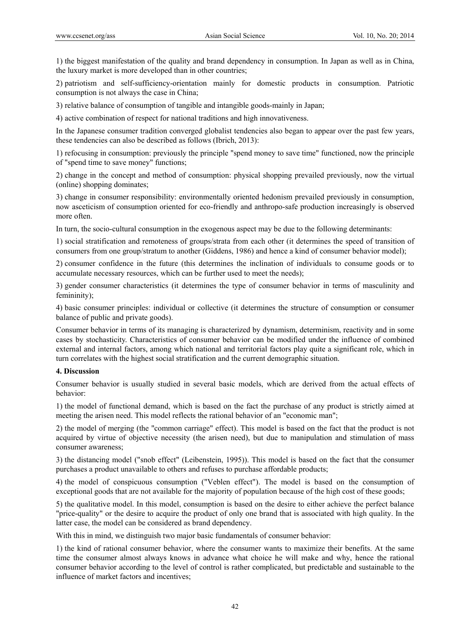1) the biggest manifestation of the quality and brand dependency in consumption. In Japan as well as in China, the luxury market is more developed than in other countries;

2) patriotism and self-sufficiency-orientation mainly for domestic products in consumption. Patriotic consumption is not always the case in China;

3) relative balance of consumption of tangible and intangible goods-mainly in Japan;

4) active combination of respect for national traditions and high innovativeness.

In the Japanese consumer tradition converged globalist tendencies also began to appear over the past few years, these tendencies can also be described as follows (Ibrich, 2013):

1) refocusing in consumption: previously the principle "spend money to save time" functioned, now the principle of "spend time to save money" functions;

2) change in the concept and method of consumption: physical shopping prevailed previously, now the virtual (online) shopping dominates;

3) change in consumer responsibility: environmentally oriented hedonism prevailed previously in consumption, now asceticism of consumption oriented for eco-friendly and anthropo-safe production increasingly is observed more often.

In turn, the socio-cultural consumption in the exogenous aspect may be due to the following determinants:

1) social stratification and remoteness of groups/strata from each other (it determines the speed of transition of consumers from one group/stratum to another (Giddens, 1986) and hence a kind of consumer behavior model);

2) consumer confidence in the future (this determines the inclination of individuals to consume goods or to accumulate necessary resources, which can be further used to meet the needs);

3) gender consumer characteristics (it determines the type of consumer behavior in terms of masculinity and femininity);

4) basic consumer principles: individual or collective (it determines the structure of consumption or consumer balance of public and private goods).

Consumer behavior in terms of its managing is characterized by dynamism, determinism, reactivity and in some cases by stochasticity. Characteristics of consumer behavior can be modified under the influence of combined external and internal factors, among which national and territorial factors play quite a significant role, which in turn correlates with the highest social stratification and the current demographic situation.

# **4. Discussion**

Consumer behavior is usually studied in several basic models, which are derived from the actual effects of behavior:

1) the model of functional demand, which is based on the fact the purchase of any product is strictly aimed at meeting the arisen need. This model reflects the rational behavior of an "economic man";

2) the model of merging (the "common carriage" effect). This model is based on the fact that the product is not acquired by virtue of objective necessity (the arisen need), but due to manipulation and stimulation of mass consumer awareness;

3) the distancing model ("snob effect" (Leibenstein, 1995)). This model is based on the fact that the consumer purchases a product unavailable to others and refuses to purchase affordable products;

4) the model of conspicuous consumption ("Veblen effect"). The model is based on the consumption of exceptional goods that are not available for the majority of population because of the high cost of these goods;

5) the qualitative model. In this model, consumption is based on the desire to either achieve the perfect balance "price-quality" or the desire to acquire the product of only one brand that is associated with high quality. In the latter case, the model can be considered as brand dependency.

With this in mind, we distinguish two major basic fundamentals of consumer behavior:

1) the kind of rational consumer behavior, where the consumer wants to maximize their benefits. At the same time the consumer almost always knows in advance what choice he will make and why, hence the rational consumer behavior according to the level of control is rather complicated, but predictable and sustainable to the influence of market factors and incentives;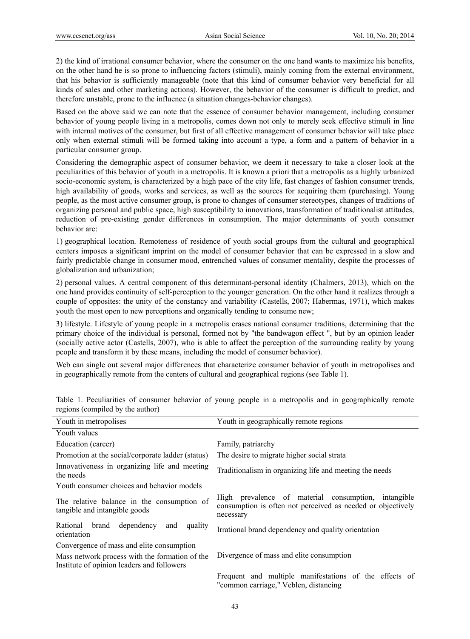2) the kind of irrational consumer behavior, where the consumer on the one hand wants to maximize his benefits, on the other hand he is so prone to influencing factors (stimuli), mainly coming from the external environment, that his behavior is sufficiently manageable (note that this kind of consumer behavior very beneficial for all kinds of sales and other marketing actions). However, the behavior of the consumer is difficult to predict, and therefore unstable, prone to the influence (a situation changes-behavior changes).

Based on the above said we can note that the essence of consumer behavior management, including consumer behavior of young people living in a metropolis, comes down not only to merely seek effective stimuli in line with internal motives of the consumer, but first of all effective management of consumer behavior will take place only when external stimuli will be formed taking into account a type, a form and a pattern of behavior in a particular consumer group.

Considering the demographic aspect of consumer behavior, we deem it necessary to take a closer look at the peculiarities of this behavior of youth in a metropolis. It is known a priori that a metropolis as a highly urbanized socio-economic system, is characterized by a high pace of the city life, fast changes of fashion consumer trends, high availability of goods, works and services, as well as the sources for acquiring them (purchasing). Young people, as the most active consumer group, is prone to changes of consumer stereotypes, changes of traditions of organizing personal and public space, high susceptibility to innovations, transformation of traditionalist attitudes, reduction of pre-existing gender differences in consumption. The major determinants of youth consumer behavior are:

1) geographical location. Remoteness of residence of youth social groups from the cultural and geographical centers imposes a significant imprint on the model of consumer behavior that can be expressed in a slow and fairly predictable change in consumer mood, entrenched values of consumer mentality, despite the processes of globalization and urbanization;

2) personal values. A central component of this determinant-personal identity (Chalmers, 2013), which on the one hand provides continuity of self-perception to the younger generation. On the other hand it realizes through a couple of opposites: the unity of the constancy and variability (Castells, 2007; Habermas, 1971), which makes youth the most open to new perceptions and organically tending to consume new;

3) lifestyle. Lifestyle of young people in a metropolis erases national consumer traditions, determining that the primary choice of the individual is personal, formed not by "the bandwagon effect ", but by an opinion leader (socially active actor (Castells, 2007), who is able to affect the perception of the surrounding reality by young people and transform it by these means, including the model of consumer behavior).

Web can single out several major differences that characterize consumer behavior of youth in metropolises and in geographically remote from the centers of cultural and geographical regions (see Table 1).

| Youth in metropolises                                                                        | Youth in geographically remote regions                                                                                          |
|----------------------------------------------------------------------------------------------|---------------------------------------------------------------------------------------------------------------------------------|
| Youth values                                                                                 |                                                                                                                                 |
| Education (career)                                                                           | Family, patriarchy                                                                                                              |
| Promotion at the social/corporate ladder (status)                                            | The desire to migrate higher social strata                                                                                      |
| Innovativeness in organizing life and meeting<br>the needs                                   | Traditionalism in organizing life and meeting the needs                                                                         |
| Youth consumer choices and behavior models                                                   |                                                                                                                                 |
| The relative balance in the consumption of<br>tangible and intangible goods                  | High prevalence of material consumption, intangible<br>consumption is often not perceived as needed or objectively<br>necessary |
| dependency<br>Rational brand<br>quality<br>and<br>orientation                                | Irrational brand dependency and quality orientation                                                                             |
| Convergence of mass and elite consumption                                                    |                                                                                                                                 |
| Mass network process with the formation of the<br>Institute of opinion leaders and followers | Divergence of mass and elite consumption                                                                                        |
|                                                                                              | Frequent and multiple manifestations of the effects of<br>"common carriage," Veblen, distancing                                 |

Table 1. Peculiarities of consumer behavior of young people in a metropolis and in geographically remote regions (compiled by the author)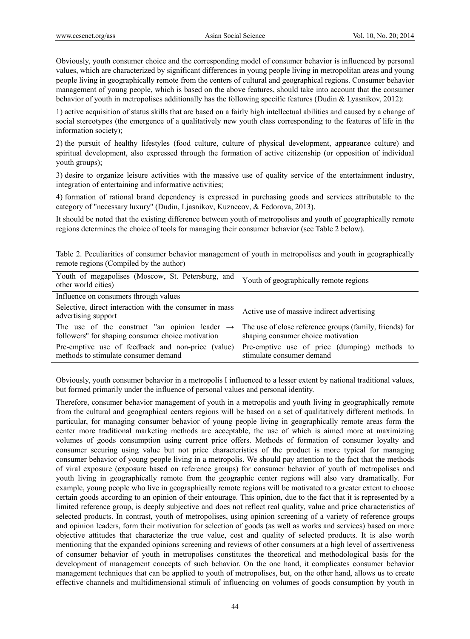Obviously, youth consumer choice and the corresponding model of consumer behavior is influenced by personal values, which are characterized by significant differences in young people living in metropolitan areas and young people living in geographically remote from the centers of cultural and geographical regions. Consumer behavior management of young people, which is based on the above features, should take into account that the consumer behavior of youth in metropolises additionally has the following specific features (Dudin & Lyasnikov, 2012):

1) active acquisition of status skills that are based on a fairly high intellectual abilities and caused by a change of social stereotypes (the emergence of a qualitatively new youth class corresponding to the features of life in the information society);

2) the pursuit of healthy lifestyles (food culture, culture of physical development, appearance culture) and spiritual development, also expressed through the formation of active citizenship (or opposition of individual youth groups);

3) desire to organize leisure activities with the massive use of quality service of the entertainment industry, integration of entertaining and informative activities;

4) formation of rational brand dependency is expressed in purchasing goods and services attributable to the category of "necessary luxury" (Dudin, Ljasnikov, Kuznecov, & Fedorova, 2013).

It should be noted that the existing difference between youth of metropolises and youth of geographically remote regions determines the choice of tools for managing their consumer behavior (see Table 2 below).

Table 2. Peculiarities of consumer behavior management of youth in metropolises and youth in geographically remote regions (Compiled by the author)

| Youth of megapolises (Moscow, St. Petersburg, and<br>other world cities)                                       | Youth of geographically remote regions                                                        |
|----------------------------------------------------------------------------------------------------------------|-----------------------------------------------------------------------------------------------|
| Influence on consumers through values                                                                          |                                                                                               |
| Selective, direct interaction with the consumer in mass<br>advertising support                                 | Active use of massive indirect advertising                                                    |
| The use of the construct "an opinion leader $\rightarrow$<br>followers" for shaping consumer choice motivation | The use of close reference groups (family, friends) for<br>shaping consumer choice motivation |
| Pre-emptive use of feedback and non-price (value)<br>methods to stimulate consumer demand                      | Pre-emptive use of price (dumping) methods to<br>stimulate consumer demand                    |

Obviously, youth consumer behavior in a metropolis I influenced to a lesser extent by national traditional values, but formed primarily under the influence of personal values and personal identity.

Therefore, consumer behavior management of youth in a metropolis and youth living in geographically remote from the cultural and geographical centers regions will be based on a set of qualitatively different methods. In particular, for managing consumer behavior of young people living in geographically remote areas form the center more traditional marketing methods are acceptable, the use of which is aimed more at maximizing volumes of goods consumption using current price offers. Methods of formation of consumer loyalty and consumer securing using value but not price characteristics of the product is more typical for managing consumer behavior of young people living in a metropolis. We should pay attention to the fact that the methods of viral exposure (exposure based on reference groups) for consumer behavior of youth of metropolises and youth living in geographically remote from the geographic center regions will also vary dramatically. For example, young people who live in geographically remote regions will be motivated to a greater extent to choose certain goods according to an opinion of their entourage. This opinion, due to the fact that it is represented by a limited reference group, is deeply subjective and does not reflect real quality, value and price characteristics of selected products. In contrast, youth of metropolises, using opinion screening of a variety of reference groups and opinion leaders, form their motivation for selection of goods (as well as works and services) based on more objective attitudes that characterize the true value, cost and quality of selected products. It is also worth mentioning that the expanded opinions screening and reviews of other consumers at a high level of assertiveness of consumer behavior of youth in metropolises constitutes the theoretical and methodological basis for the development of management concepts of such behavior. On the one hand, it complicates consumer behavior management techniques that can be applied to youth of metropolises, but, on the other hand, allows us to create effective channels and multidimensional stimuli of influencing on volumes of goods consumption by youth in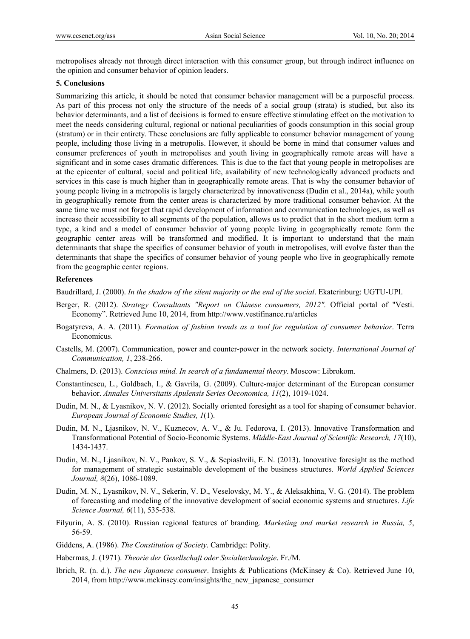metropolises already not through direct interaction with this consumer group, but through indirect influence on the opinion and consumer behavior of opinion leaders.

#### **5. Conclusions**

Summarizing this article, it should be noted that consumer behavior management will be a purposeful process. As part of this process not only the structure of the needs of a social group (strata) is studied, but also its behavior determinants, and a list of decisions is formed to ensure effective stimulating effect on the motivation to meet the needs considering cultural, regional or national peculiarities of goods consumption in this social group (stratum) or in their entirety. These conclusions are fully applicable to consumer behavior management of young people, including those living in a metropolis. However, it should be borne in mind that consumer values and consumer preferences of youth in metropolises and youth living in geographically remote areas will have a significant and in some cases dramatic differences. This is due to the fact that young people in metropolises are at the epicenter of cultural, social and political life, availability of new technologically advanced products and services in this case is much higher than in geographically remote areas. That is why the consumer behavior of young people living in a metropolis is largely characterized by innovativeness (Dudin et al., 2014a), while youth in geographically remote from the center areas is characterized by more traditional consumer behavior. At the same time we must not forget that rapid development of information and communication technologies, as well as increase their accessibility to all segments of the population, allows us to predict that in the short medium term a type, a kind and a model of consumer behavior of young people living in geographically remote form the geographic center areas will be transformed and modified. It is important to understand that the main determinants that shape the specifics of consumer behavior of youth in metropolises, will evolve faster than the determinants that shape the specifics of consumer behavior of young people who live in geographically remote from the geographic center regions.

#### **References**

Baudrillard, J. (2000). *In the shadow of the silent majority or the end of the social*. Ekaterinburg: UGTU-UPI.

- Berger, R. (2012). *Strategy Consultants "Report on Chinese consumers, 2012".* Official portal of "Vesti. Economy". Retrieved June 10, 2014, from http://www.vestifinance.ru/articles
- Bogatyreva, A. A. (2011). *Formation of fashion trends as a tool for regulation of consumer behavior*. Terra Economicus.
- Castells, M. (2007). Communication, power and counter-power in the network society. *International Journal of Communication, 1*, 238-266.
- Chalmers, D. (2013). *Conscious mind. In search of a fundamental theory*. Moscow: Librokom.
- Constantinescu, L., Goldbach, I., & Gavrila, G. (2009). Culture-major determinant of the European consumer behavior. *Annales Universitatis Apulensis Series Oeconomica, 11*(2), 1019-1024.
- Dudin, M. N., & Lyasnikov, N. V. (2012). Socially oriented foresight as a tool for shaping of consumer behavior. *European Journal of Economic Studies, 1*(1).
- Dudin, M. N., Ljasnikov, N. V., Kuznecov, A. V., & Ju. Fedorova, I. (2013). Innovative Transformation and Transformational Potential of Socio-Economic Systems. *Middle-East Journal of Scientific Research, 17*(10), 1434-1437.
- Dudin, M. N., Ljasnikov, N. V., Pankov, S. V., & Sepiashvili, E. N. (2013). Innovative foresight as the method for management of strategic sustainable development of the business structures. *World Applied Sciences Journal, 8*(26), 1086-1089.
- Dudin, M. N., Lyasnikov, N. V., Sekerin, V. D., Veselovsky, M. Y., & Aleksakhina, V. G. (2014). The problem of forecasting and modeling of the innovative development of social economic systems and structures. *Life Science Journal, 6*(11), 535-538.
- Filyurin, A. S. (2010). Russian regional features of branding*. Marketing and market research in Russia, 5*, 56-59.
- Giddens, А. (1986). *The Constitution of Society*. Cambridge: Polity.
- Habermas, J. (1971). *Theorie der Gesellschaft oder Sozialtechnologie*. Fr./M.
- Ibrich, R. (n. d.). *The new Japanese consumer*. Insights & Publications (McKinsey & Co). Retrieved June 10, 2014, from http://www.mckinsey.com/insights/the\_new\_japanese\_consumer